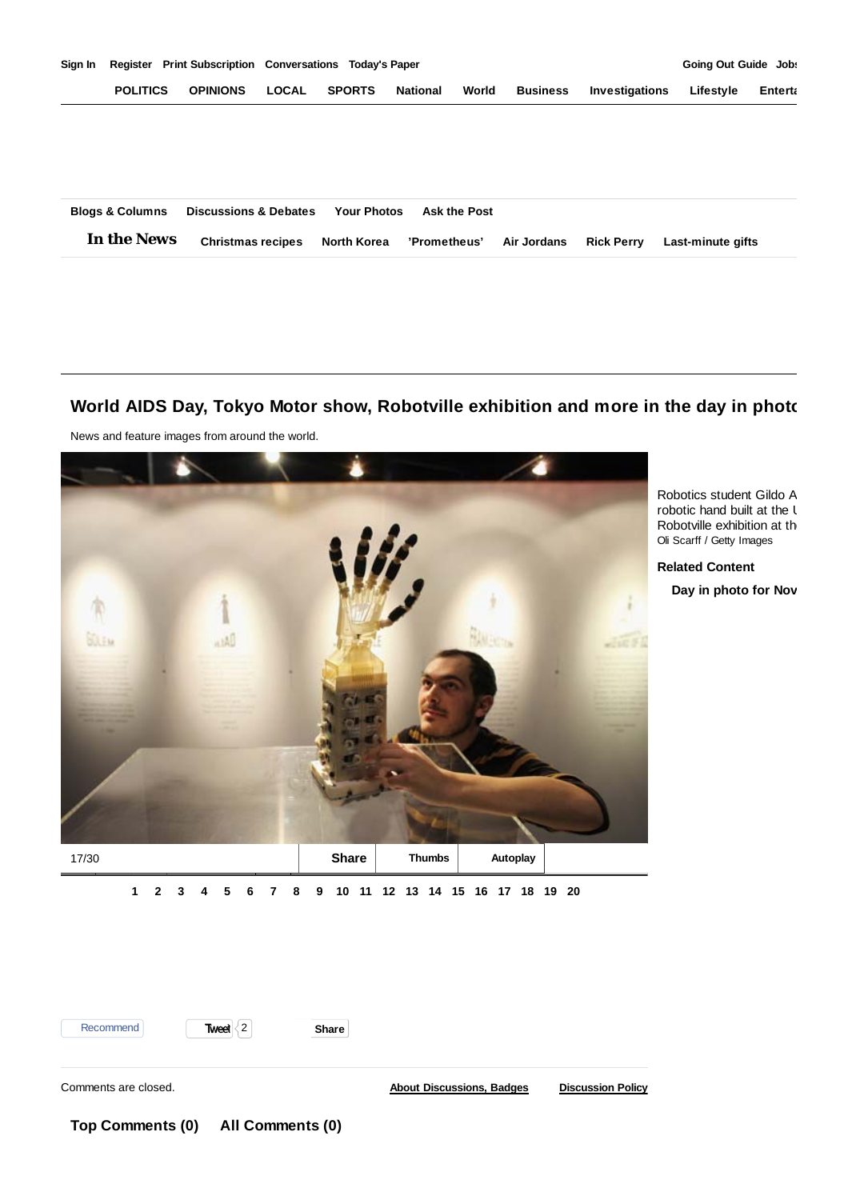| Sign In |                            | Register Print Subscription Conversations Today's Paper |              |                    |                     |       |                 |                       | Going Out Guide Jobs |         |
|---------|----------------------------|---------------------------------------------------------|--------------|--------------------|---------------------|-------|-----------------|-----------------------|----------------------|---------|
|         | <b>POLITICS</b>            | <b>OPINIONS</b>                                         | <b>LOCAL</b> | <b>SPORTS</b>      | <b>National</b>     | World | <b>Business</b> | <b>Investigations</b> | Lifestyle            | Enterta |
|         |                            |                                                         |              |                    |                     |       |                 |                       |                      |         |
|         |                            |                                                         |              |                    |                     |       |                 |                       |                      |         |
|         |                            |                                                         |              |                    |                     |       |                 |                       |                      |         |
|         |                            |                                                         |              |                    |                     |       |                 |                       |                      |         |
|         | <b>Blogs &amp; Columns</b> | <b>Discussions &amp; Debates</b>                        |              | <b>Your Photos</b> | <b>Ask the Post</b> |       |                 |                       |                      |         |
|         | In the News                | <b>Christmas recipes</b>                                |              | <b>North Korea</b> | 'Prometheus'        |       | Air Jordans     | <b>Rick Perry</b>     | Last-minute gifts    |         |

# **World AIDS Day, Tokyo Motor show, Robotville exhibition and more in the day in photo**

News and feature images from around the world.



Robotics student Gildo A robotic hand built at the U Robotville exhibition at the Oli Scarff / Getty Images

**Related Content**

**Day in photo for Nov**

| Recommend            | $\overline{2}$<br>Tweet<br>Share |                                  |                          |
|----------------------|----------------------------------|----------------------------------|--------------------------|
| Comments are closed. |                                  | <b>About Discussions, Badges</b> | <b>Discussion Policy</b> |
| Top Comments (0)     | All Comments (0)                 |                                  |                          |